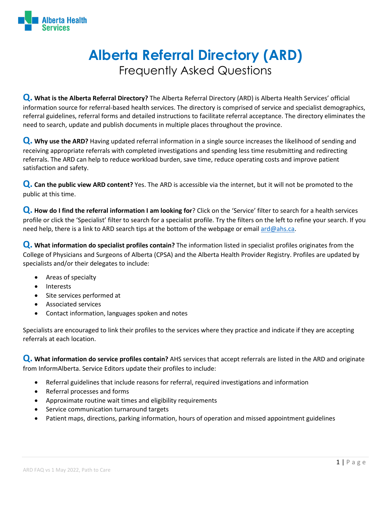

## **Alberta Referral Directory (ARD)**  Frequently Asked Questions

**Q. What is the Alberta Referral Directory?** The Alberta Referral Directory (ARD) is Alberta Health Services' official information source for referral-based health services. The directory is comprised of service and specialist demographics, referral guidelines, referral forms and detailed instructions to facilitate referral acceptance. The directory eliminates the need to search, update and publish documents in multiple places throughout the province.

**Q. Why use the ARD?** Having updated referral information in a single source increases the likelihood of sending and receiving appropriate referrals with completed investigations and spending less time resubmitting and redirecting referrals. The ARD can help to reduce workload burden, save time, reduce operating costs and improve patient satisfaction and safety.

**Q. Can the public view ARD content?** Yes. The ARD is accessible via the internet, but it will not be promoted to the public at this time.

**Q. How do I find the referral information I am looking for**? Click on the 'Service' filter to search for a health services profile or click the 'Specialist' filter to search for a specialist profile. Try the filters on the left to refine your search. If you need help, there is a link to ARD search tips at the bottom of the webpage or emai[l ard@ahs.ca.](mailto:ard@ahs.ca)

**Q. What information do specialist profiles contain?** The information listed in specialist profiles originates from the College of Physicians and Surgeons of Alberta (CPSA) and the Alberta Health Provider Registry. Profiles are updated by specialists and/or their delegates to include:

- Areas of specialty
- **Interests**
- Site services performed at
- Associated services
- Contact information, languages spoken and notes

Specialists are encouraged to link their profiles to the services where they practice and indicate if they are accepting referrals at each location.

**Q. What information do service profiles contain?** AHS services that accept referrals are listed in the ARD and originate from InformAlberta. Service Editors update their profiles to include:

- Referral guidelines that include reasons for referral, required investigations and information
- Referral processes and forms
- Approximate routine wait times and eligibility requirements
- Service communication turnaround targets
- Patient maps, directions, parking information, hours of operation and missed appointment guidelines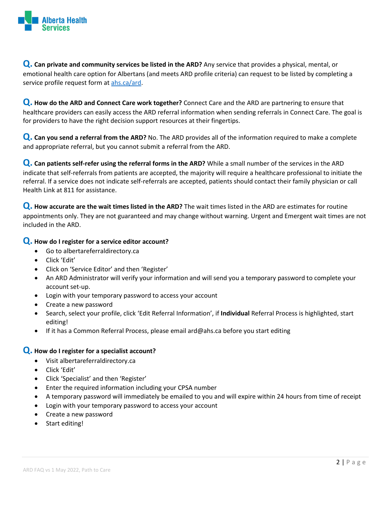

**Q. Can private and community services be listed in the ARD?** Any service that provides a physical, mental, or emotional health care option for Albertans (and meets ARD profile criteria) can request to be listed by completing a service profile request form at [ahs.ca/ard.](http://ahs.ca/ard)

**Q. How do the ARD and Connect Care work together?** Connect Care and the ARD are partnering to ensure that healthcare providers can easily access the ARD referral information when sending referrals in Connect Care. The goal is for providers to have the right decision support resources at their fingertips.

**Q. Can you send a referral from the ARD?** No. The ARD provides all of the information required to make a complete and appropriate referral, but you cannot submit a referral from the ARD.

**Q. Can patients self-refer using the referral forms in the ARD?** While a small number of the services in the ARD indicate that self-referrals from patients are accepted, the majority will require a healthcare professional to initiate the referral. If a service does not indicate self-referrals are accepted, patients should contact their family physician or call Health Link at 811 for assistance.

**Q. How accurate are the wait times listed in the ARD?** The wait times listed in the ARD are estimates for routine appointments only. They are not guaranteed and may change without warning. Urgent and Emergent wait times are not included in the ARD.

## **Q. How do I register for a service editor account?**

- Go to albertareferraldirectory.ca
- Click 'Edit'
- Click on 'Service Editor' and then 'Register'
- An ARD Administrator will verify your information and will send you a temporary password to complete your account set-up.
- Login with your temporary password to access your account
- Create a new password
- Search, select your profile, click 'Edit Referral Information', if **Individual** Referral Process is highlighted, start editing!
- If it has a Common Referral Process, please email ard@ahs.ca before you start editing

## **Q. How do I register for a specialist account?**

- Visit albertareferraldirectory.ca
- Click 'Edit'
- Click 'Specialist' and then 'Register'
- Enter the required information including your CPSA number
- A temporary password will immediately be emailed to you and will expire within 24 hours from time of receipt
- Login with your temporary password to access your account
- Create a new password
- Start editing!